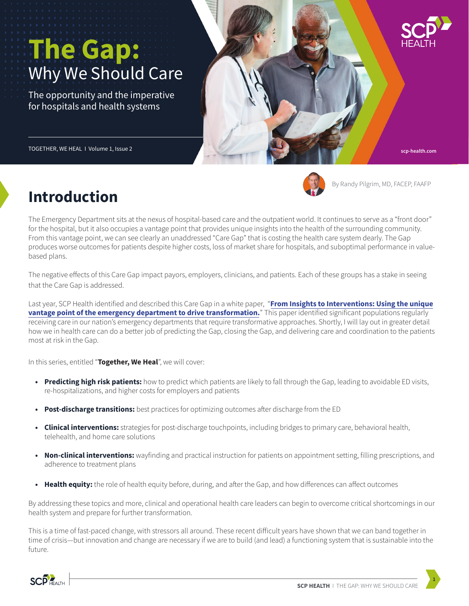# The Gap: Why We Should Care

The opportunity and the imperative for hospitals and health systems

TOGETHER, WE HEAL I Volume 1, Issue 2



By Randy Pilgrim, MD, FACEP, FAAFP

**scp-health.com**

# **Introduction**

The Emergency Department sits at the nexus of hospital-based care and the outpatient world. It continues to serve as a "front door" for the hospital, but it also occupies a vantage point that provides unique insights into the health of the surrounding community. From this vantage point, we can see clearly an unaddressed "Care Gap" that is costing the health care system dearly. The Gap produces worse outcomes for patients despite higher costs, loss of market share for hospitals, and suboptimal performance in valuebased plans.

The negative effects of this Care Gap impact payors, employers, clinicians, and patients. Each of these groups has a stake in seeing that the Care Gap is addressed.

[Last year, SCP Health identified and described this Care Gap in a white paper, "](https://www.scp-health.com/resource/from-insights-to-interventions/)**From Insights to Interventions: Using the unique vantage point of the emergency department to drive transformation.**" This paper identified significant populations regularly receiving care in our nation's emergency departments that require transformative approaches. Shortly, I will lay out in greater detail how we in health care can do a better job of predicting the Gap, closing the Gap, and delivering care and coordination to the patients most at risk in the Gap.

In this series, entitled "**Together, We Heal**", we will cover:

- **• Predicting high risk patients:** how to predict which patients are likely to fall through the Gap, leading to avoidable ED visits, re-hospitalizations, and higher costs for employers and patients
- **• Post-discharge transitions:** best practices for optimizing outcomes after discharge from the ED
- **• Clinical interventions:** strategies for post-discharge touchpoints, including bridges to primary care, behavioral health, telehealth, and home care solutions
- **• Non-clinical interventions:** wayfinding and practical instruction for patients on appointment setting, filling prescriptions, and adherence to treatment plans
- **• Health equity:** the role of health equity before, during, and after the Gap, and how differences can affect outcomes

By addressing these topics and more, clinical and operational health care leaders can begin to overcome critical shortcomings in our health system and prepare for further transformation.

This is a time of fast-paced change, with stressors all around. These recent difficult years have shown that we can band together in time of crisis—but innovation and change are necessary if we are to build (and lead) a functioning system that is sustainable into the future.

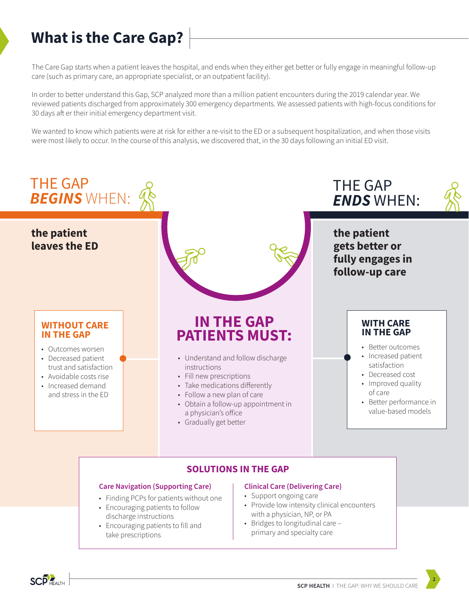# **What is the Care Gap?**

The Care Gap starts when a patient leaves the hospital, and ends when they either get better or fully engage in meaningful follow-up care (such as primary care, an appropriate specialist, or an outpatient facility).

In order to better understand this Gap, SCP analyzed more than a million patient encounters during the 2019 calendar year. We reviewed patients discharged from approximately 300 emergency departments. We assessed patients with high-focus conditions for 30 days aft er their initial emergency department visit.

We wanted to know which patients were at risk for either a re-visit to the ED or a subsequent hospitalization, and when those visits were most likely to occur. In the course of this analysis, we discovered that, in the 30 days following an initial ED visit.



- **Care Navigation (Supporting Care)** • Finding PCPs for patients without one
- 
- Encouraging patients to follow discharge instructions
- Encouraging patients to fill and take prescriptions

#### **Clinical Care (Delivering Care)**

- Support ongoing care
- Provide low intensity clinical encounters with a physician, NP, or PA
- Bridges to longitudinal care primary and specialty care

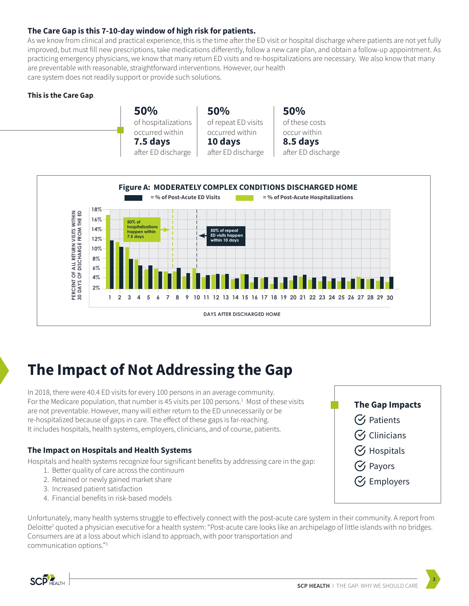# **The Care Gap is this 7-10-day window of high risk for patients.**

As we know from clinical and practical experience, this is the time after the ED visit or hospital discharge where patients are not yet fully improved, but must fill new prescriptions, take medications differently, follow a new care plan, and obtain a follow-up appointment. As practicing emergency physicians, we know that many return ED visits and re-hospitalizations are necessary. We also know that many are preventable with reasonable, straightforward interventions. However, our health care system does not readily support or provide such solutions.

### **This is the Care Gap**.



**50%** of repeat ED visits occurred within **10 days** after ED discharge **50%** of these costs occur within **8.5 days** after ED discharge



# **The Impact of Not Addressing the Gap**

In 2018, there were 40.4 ED visits for every 100 persons in an average community. For the Medicare population, that number is 45 visits per 100 persons.<sup>1</sup> Most of these visits are not preventable. However, many will either return to the ED unnecessarily or be re-hospitalized because of gaps in care. The effect of these gaps is far-reaching. It includes hospitals, health systems, employers, clinicians, and of course, patients.

## **The Impact on Hospitals and Health Systems**

Hospitals and health systems recognize four significant benefits by addressing care in the gap:

- 1. Better quality of care across the continuum
- 2. Retained or newly gained market share
- 3. Increased patient satisfaction
- 4. Financial benefits in risk-based models

Unfortunately, many health systems struggle to effectively connect with the post-acute care system in their community. A report from Deloitte<sup>2</sup> quoted a physician executive for a health system: "Post-acute care looks like an archipelago of little islands with no bridges. Consumers are at a loss about which island to approach, with poor transportation and communication options."3

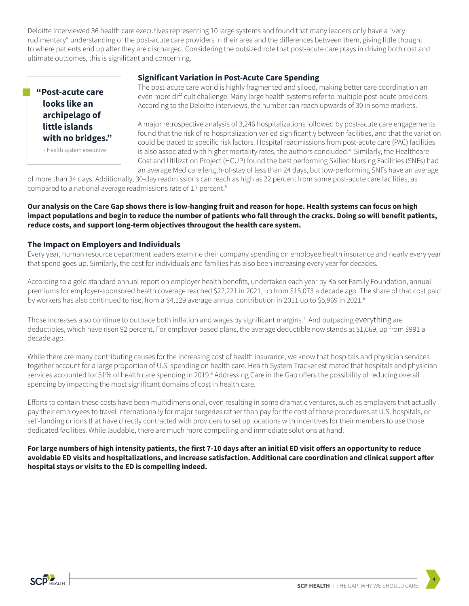Deloitte interviewed 36 health care executives representing 10 large systems and found that many leaders only have a "very rudimentary" understanding of the post-acute care providers in their area and the differences between them, giving little thought to where patients end up after they are discharged. Considering the outsized role that post-acute care plays in driving both cost and ultimate outcomes, this is significant and concerning.



- Health system executive

#### **Significant Variation in Post-Acute Care Spending**

 The post-acute care world is highly fragmented and siloed, making better care coordination an even more difficult challenge. Many large health systems refer to multiple post-acute providers. According to the Deloitte interviews, the number can reach upwards of 30 in some markets.

 A major retrospective analysis of 3,246 hospitalizations followed by post-acute care engagements found that the risk of re-hospitalization varied significantly between facilities, and that the variation could be traced to specific risk factors. Hospital readmissions from post-acute care (PAC) facilities - Health system executive **Fig. 2** is also associated with higher mortality rates, the authors concluded.<sup>4</sup> Similarly, the Healthcare Cost and Utilization Project (HCUP) found the best performing Skilled Nursing Facilities (SNFs) had an average Medicare length-of-stay of less than 24 days, but low-performing SNFs have an average

of more than 34 days. Additionally, 30-day readmissions can reach as high as 22 percent from some post-acute care facilities, as compared to a national average readmissions rate of 17 percent.<sup>5</sup>

### **Our analysis on the Care Gap shows there is low-hanging fruit and reason for hope. Health systems can focus on high**  impact populations and begin to reduce the number of patients who fall through the cracks. Doing so will benefit patients, **reduce costs, and support long-term objectives througout the health care system.**

### **The Impact on Employers and Individuals**

Every year, human resource department leaders examine their company spending on employee health insurance and nearly every year that spend goes up. Similarly, the cost for individuals and families has also been increasing every year for decades.

According to a gold standard annual report on employer health benefits, undertaken each year by Kaiser Family Foundation, annual premiums for employer-sponsored health coverage reached \$22,221 in 2021, up from \$15,073 a decade ago. The share of that cost paid by workers has also continued to rise, from a \$4,129 average annual contribution in 2011 up to \$5,969 in 2021.<sup>6</sup>

Those increases also continue to outpace both inflation and wages by significant margins.<sup>7</sup> And outpacing everything are deductibles, which have risen 92 percent. For employer-based plans, the average deductible now stands at \$1,669, up from \$991 a decade ago.

While there are many contributing causes for the increasing cost of health insurance, we know that hospitals and physician services together account for a large proportion of U.S. spending on health care. Health System Tracker estimated that hospitals and physician services accounted for 51% of health care spending in 2019.<sup>8</sup> Addressing Care in the Gap offers the possibility of reducing overall spending by impacting the most significant domains of cost in health care.

Efforts to contain these costs have been multidimensional, even resulting in some dramatic ventures, such as employers that actually pay their employees to travel internationally for major surgeries rather than pay for the cost of those procedures at U.S. hospitals, or self-funding unions that have directly contracted with providers to set up locations with incentives for their members to use those dedicated facilities. While laudable, there are much more compelling and immediate solutions at hand.

For large numbers of high intensity patients, the first 7-10 days after an initial ED visit offers an opportunity to reduce avoidable ED visits and hospitalizations, and increase satisfaction. Additional care coordination and clinical support after **hospital stays or visits to the ED is compelling indeed.**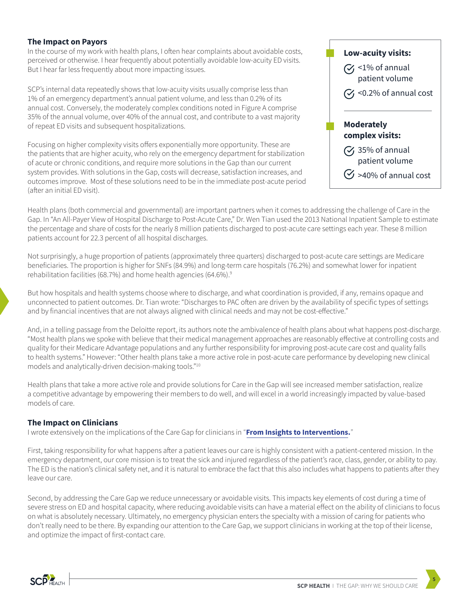### **The Impact on Payors**

In the course of my work with health plans, I often hear complaints about avoidable costs, perceived or otherwise. I hear frequently about potentially avoidable low-acuity ED visits. But I hear far less frequently about more impacting issues.

SCP's internal data repeatedly shows that low-acuity visits usually comprise less than 1% of an emergency department's annual patient volume, and less than 0.2% of its annual cost. Conversely, the moderately complex conditions noted in Figure A comprise 35% of the annual volume, over 40% of the annual cost, and contribute to a vast majority of repeat ED visits and subsequent hospitalizations.

Focusing on higher complexity visits offers exponentially more opportunity. These are the patients that are higher acuity, who rely on the emergency department for stabilization of acute or chronic conditions, and require more solutions in the Gap than our current system provides. With solutions in the Gap, costs will decrease, satisfaction increases, and outcomes improve. Most of these solutions need to be in the immediate post-acute period (after an initial ED visit).



Health plans (both commercial and governmental) are important partners when it comes to addressing the challenge of Care in the Gap. In "An All-Payer View of Hospital Discharge to Post-Acute Care," Dr. Wen Tian used the 2013 National Inpatient Sample to estimate the percentage and share of costs for the nearly 8 million patients discharged to post-acute care settings each year. These 8 million patients account for 22.3 percent of all hospital discharges.

Not surprisingly, a huge proportion of patients (approximately three quarters) discharged to post-acute care settings are Medicare beneficiaries. The proportion is higher for SNFs (84.9%) and long-term care hospitals (76.2%) and somewhat lower for inpatient rehabilitation facilities (68.7%) and home health agencies (64.6%).<sup>9</sup>

But how hospitals and health systems choose where to discharge, and what coordination is provided, if any, remains opaque and unconnected to patient outcomes. Dr. Tian wrote: "Discharges to PAC often are driven by the availability of specific types of settings and by financial incentives that are not always aligned with clinical needs and may not be cost-effective."

And, in a telling passage from the Deloitte report, its authors note the ambivalence of health plans about what happens post-discharge. "Most health plans we spoke with believe that their medical management approaches are reasonably effective at controlling costs and quality for their Medicare Advantage populations and any further responsibility for improving post-acute care cost and quality falls to health systems." However: "Other health plans take a more active role in post-acute care performance by developing new clinical models and analytically-driven decision-making tools."10

Health plans that take a more active role and provide solutions for Care in the Gap will see increased member satisfaction, realize a competitive advantage by empowering their members to do well, and will excel in a world increasingly impacted by value-based models of care.

### **The Impact on Clinicians**

I wrote extensively on the implications of the Care Gap for clinicians in "**[From Insights to Interventions.](https://www.scp-health.com/resource/from-insights-to-interventions/)**"

First, taking responsibility for what happens after a patient leaves our care is highly consistent with a patient-centered mission. In the emergency department, our core mission is to treat the sick and injured regardless of the patient's race, class, gender, or ability to pay. The ED is the nation's clinical safety net, and it is natural to embrace the fact that this also includes what happens to patients after they leave our care.

Second, by addressing the Care Gap we reduce unnecessary or avoidable visits. This impacts key elements of cost during a time of severe stress on ED and hospital capacity, where reducing avoidable visits can have a material effect on the ability of clinicians to focus on what is absolutely necessary. Ultimately, no emergency physician enters the specialty with a mission of caring for patients who don't really need to be there. By expanding our attention to the Care Gap, we support clinicians in working at the top of their license, and optimize the impact of first-contact care.